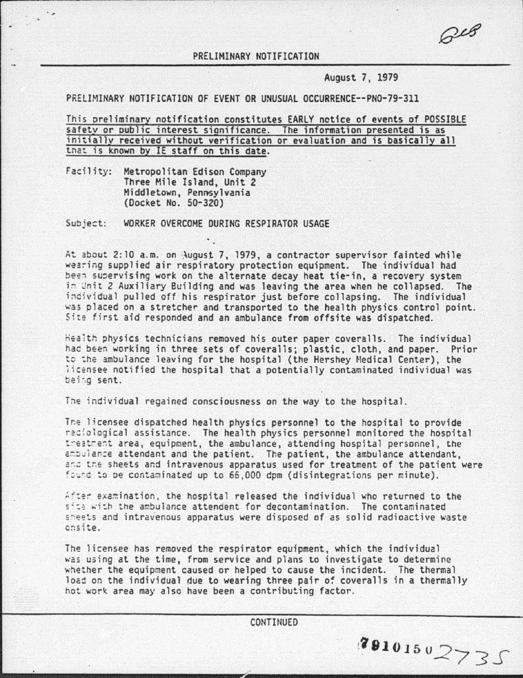$C^{c8}$ 

38101502735

## PRELIMINARY NOTIFICATION

August 7, 1979

PRELIMINARY NOTIFICATION OF EVENT OR UNUSUAL OCCURRENCE--PN0-79-311

This oreliminary notification constitutes EARLY nctice of events of POSSIBLE safetv or oublic interest sianificance. The information presented is as initiallv received without verification or evaluation and is basically all that is known by IE staff on this date.

Facility: Metropolitan Edison Company Three Mile Island, Unit 2 Middletown, Pennsylvania (Docket No. 50-320)

. The state of the state of the state of the state of the state of the state of the state of the state of the state of the state of the state of the state of the state of the state of the state of the state of the state o

 $\ddot{\phantom{0}}$ 

Subject: WORKER OVERCOME DURING RESPIRATOR USAGE

At about 2:10 a.m. on August 7, 1979, a contractor supervisor fainted while wearing supplied air respiratory protection equipment. The individual had been supervising work on the alternate decay heat tie-in, a recovery system in Unit 2 Auxiliary Building and was leaving the area when he collapsed. The<br>individual pulled off his respirator just before collapsing. The individual was placed on a stretcher and transported to the health physics control point. Site first aid responded and an ambulance from offsite was dispatched.

Health physics technicians removed his outer paper coveralls. The individual hac been working in three sets of coveralls; plastic, cloth, and paper. Prior to the ambulance leaving for the hospital (the Hershey Medical Center), the licensee notified the hospital that a potentially contaminated individual was baing sent.

The individual regained consciousness on the way to the hospital.

The licensee dispatched health physics personnel to the hospital to provide raciological assistance. The health physics personnel monitored the hospital treatrent area, equipment, the ambulance, attending hospital personnel, the ambulance attendant and the patient. The patient, the ambulance attendant, and the sheets and intravenous apparatus used for treatment of the patient were found to be contaminated up to 66,000 dpm (disintegrations per minute).

After examination, the hospital released the individual who returned to the site with the ambulance attendent for decontamination. The contaminated sheets and intravenous apparatus were disposed of as solid radioactive waste chsite.

The licensee has removed the respirator equipment, which the individual ~as using at the time, from service and plans to investigate to determine whether the equipment caused or helped to cause the incident. The thermal load on the individual due to wearing three pair of coveralls in a thermally hot work area may also have been a contributing factor.

**CONTINUED**